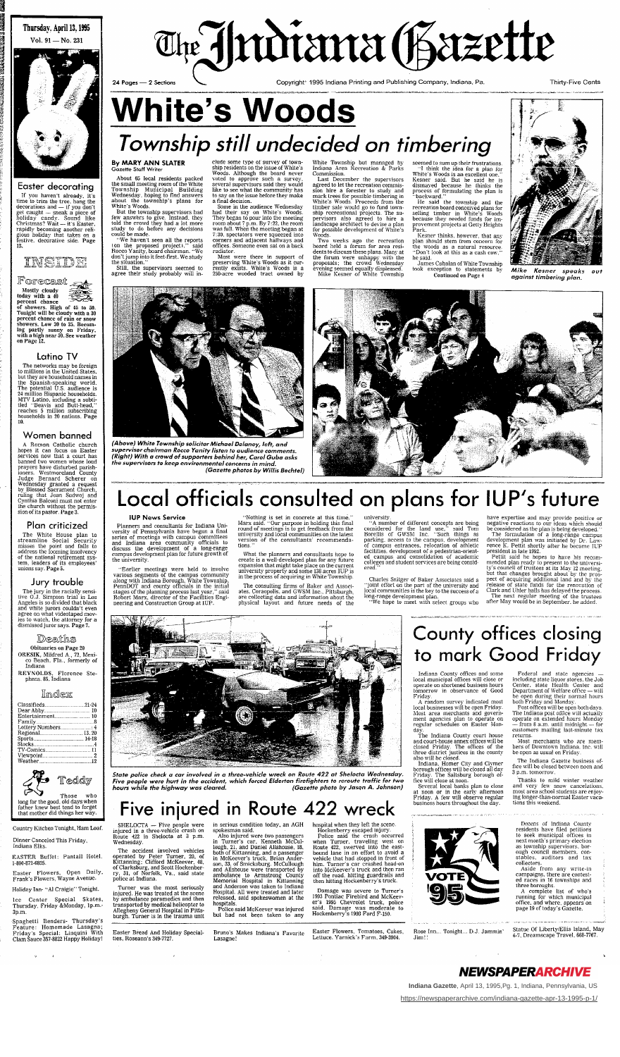Thursday. April 13, 1995 Vol.91 —No. 231

#### Easter decorating

If you haven't already, it's time to trim the tree, hang the decorations and — if you don't get caught  $-$  sneak a piece of holiday candy. Sound like Christmas? Wait — it's Easter, rapidly becoming another religious holiday that takes on a festive, decorative side. Page 13.

# INSIDE

Forecast

Mostly cloudy today with a 40 percent chance

of showers. High of 45 to 50. Tonight will be cloudy with a 30 percent chance of rain or snow showers. Low 30 to 35. Becoming partly sunny on Friday, with a high near 50. See weather on Page 12.

### Latino TV

The networks may be foreign to millions in the United States, but they are household names in the Spanish-speaking world. The potential U.S. audience is 24 million Hispanic households. MTV Latino, including a subtitled "Beavis and Butt-head," reaches 5 million subscribing households in 20 nations. Page 10.

### Women banned

A Roman Catholic church hopes it can focus on Easter services now that a court has banned two women whose loud prayers have disturbed parishioners. Westmoreland County Judge Bernard Scherer on Wednesday granted a request by Blessed Sacrament Church, ruling that Joan Sudwoj and Cynthia Balconi must not enter the church without the permission of its pastor. Page 3.

### Plan criticized

The White House plan to streamline Social Security misses the point and fails to address the looming insolvency of the national retirement sysThe Judiana Gazette

24 Pages — 2 Sections **2006 2006** Copyright<sup>\*</sup> 1995 Indiana Printing and Publishing Company, Indiana, Pa. Thirty-Five Cents

tem, leaders of its employees' unions say. Page 5.

#### Jury trouble

The jury in the racially sensitive O.J. Simpson trial in Los Angeles is so divided that black and white jurors couldn't even agree on what videotaped movies to watch, the attorney for a dismissed juror says. Page 7.

#### Deaths

Obituaries on Page 20 ORESIK, Mildred A., 72, Mexico Beach, Fla., formerly of Indiana REYNOLDS, Florence Ste-

phens, 85, Indiana

#### Index

| Classifieds21-24 |  |
|------------------|--|
|                  |  |
| Entertainment 10 |  |
|                  |  |
|                  |  |
|                  |  |
|                  |  |
|                  |  |
|                  |  |
|                  |  |
|                  |  |



father knew best tend to forget that mother did things her way.

Country Kitchen Tonight, Ham Loaf.

Dinner Canceled This Friday, Indiana Elks.

Two weeks ago the recreation board held a forum for area residents to discuss these plans. Many at the forum were unhappy with the proposals; the crowd Wednesday evening seemed equally displeased. Mike Kesner of White Township

EASTER Buffet: Pantail Hotel, 1-800-872-6825.

Easter Flowers, Open Daily, Frank's Flowers, Wayne Avenue.

seemed to sum up their frustrations. "I think the idea for a plan for White's Woods is an excellent one." Kesner said. But he said he is dismayed because he thinks the process of formulating the plan is backward.

Holiday Inn- "Al Craigie" Tonight.

Ice Center Special Skates, Thursday, Friday &Monday, 1p.m.- 3p.m.

Spaghetti Benders- Thursday's Feature: Homemade Lasagna; Friday's Special: Linquini With Clam Sauce 357-8822 Happy Holiday!

# **White's Woods**

# Township still undecided on timbering

#### **By MARY ANN SLATER Gazette Staff Writer**

About 65 local residents packed the small meeting room of the White Township Municipal Building Wednesday, hoping to find answers about the township's plans for White's Woods.

But the township supervisors had few answers to give. Instead, they told the crowd they had a lot more study to do before any decisions could be made.

"We haven't seen all the reports (on the proposed project)," said Rocco Vanity, board chairman. "We don't jump into it feet-first. We study the situation."

Still, the supervisors seemed to agree their study probably will in-

clude some type of survey of township residents on the issue of White's Woods. Although the board never voted to approve such a survey, several supervisors said they would like to see what the community has to say on the issue before they make a final decision.

> colleges and student services are being considered.

Some in the audience Wednesday had their say on White's Woods. They began to pour into the meeting room about 7 p.m. By 7:22, the room was full. When the meeting began at 7:30. spectators were squeezed into corners and adjacent hallways and offices. Someone even sat on a back radiator.

> have expertise and may provide positive or negative reactions to our ideas which should be considered as the plan is being developed." The formulation of a long-range campus development plan was initiated by Dr. Lawrence K. Pettit shortly after he became IUP president in late 1992.

Most were there in support of preserving White's Woods as it currently exists. White's Woods is a 250-acre wooded tract owned by

White Township but managed by Indiana Area Recreation & Parks Commission.

> Pettit said he hones to have his recommended plan ready to present to the university's council of trustees at its May 12 meeting, but that changes brought about by the prospect of acquiring additional land and by the release of state funds for the renovation of Clark and Uhler halls has delayed the process. The next regular meeting of the trustees after May would be in September, he added.



**State police check a car involved in a three-vehicle wreck on Route 422 at Shelocta Wednesday. Five people were hurt in the accident, which forced Elderton firefighters to reroute traffic for two** hours while the highway was cleared.

Last December the supervisors agreed to let the recreation commission hire a forester to study and mark trees for possible timbering in White's Woods. Proceeds from the timber sale would go to fund township recreational projects. The supervisors also agreed to hire a landscape architect to devise a plan for possible development of White's Woods-

He said the township and the recreation board conceived plans for selling timber in White's Woods because they needed funds for improvement projects at Getty Heights Park.

Kesner thinks, however, that any plan should stem from concern for the woods as a natural resource. "Don't look at this as a cash cow." he said.

James Cahalan of White Township took exception to statements by Continued on Page 4



**Mike Kesner speaks out against timbering plan.**



**(Above) White Township solicitor Michael Delaney, left, and supervisor chairman Rocco Yanity listen to audience comments. (Right) With a crowd of supporters behind her, Carol Guba asks the supervisors to keep environmental concerns in mind. (Gazette photos by Willis Bechtel)**



# Local officials consulted on plans for lUP's future

#### **IUP News Service**

Planners and consultants for Indiana University of Pennsylvania have begun a final series of meetings with campus committees and Indiana area community officials to discuss the development of a long-range campus development plan for future growth of

"Nothing is set in concrete at this time." Marx said. "Our purpose in holding this final round of meetings is to get feedback from the university and local communities on the latest version of the consultants' recommendations.

the university.

Easter Flowers, Tomatoes, Cukes, Lettuce. Yarnick's Farm, 349-3904.

"Earlier meetings were held to involve various segments of the campus community along with Indiana Borough, White Township, PennDOT and county officials in the initial stages of the planning process last year," said Robert Marx, director of the Facilities Engineering and Construction Group at IUP.

What the planners and consultants hope to

create is a well-developed plan for any future expansion that might take place on the current university property and some 138 acres IUP is in the process of acquiring in White Township.

The consulting firms of Baker and Associates, Coraopolis, and GWSM Inc., Pittsburgh, are collecting data and information about the physical layout and future needs of the university.

"A number of different concepts are being considered for the land use," said Tom Borellis of GWSM Inc. "Such things as parking, access to the campus, development of campus entrances, relocation of athletic facilities, development of a pedestrian-oriented campus and consolidation of academic

Charles Snitger of Baker Associates said a joint effort on the part of the university and local communities is the key to the success of a long-range development plan.

"We hope to meet with select groups who

# County offices closing to mark Good Friday

# Five injured in Route 422 wreck

Indiana County offices and some local municipal offices will close or operate on shortened business hours tomorrow in observance of Good Friday.

A random survey indicated most local businesses will be open Friday. Most area merchants and government agencies plan to operate on regular schedules on Easter Monday.

The Indiana County court house and court-house annex offices will be closed Friday. The offices of the three district justices in the county also will be closed.

Indiana. Homer City and Clymer borough offices will be closed all day Friday. The Saltsburg borough office will close at noon.

Several local banks plan to close at noon or in the early afternoon Friday. A few will observe regular business hours throughout the day.

SHELOCTA — Five people were injured in a three-vehicle crash on Route 422 in Shelocta at 3 p.m. Wednesday.

The accident involved vehicles operated by Peter Turner, 20, of Kittanning; Clifford McKeever, 48, of Clarksburg, and Scott Hockenberry, 31, of Norfolk, Va., said state police at Indiana.

Turner was the most seriously injured. He was treated at the scene by ambulance paramedics and then transported by medical helicopter to Allegheny General Hospital in Pittsburgh. Turner is in the trauma unit in serious condition today, an AGH spokesman said.

Also injured were two passengers in Turner's car, Kenneth McCullough, 21, and Daniel Allshouse, 18, both of Kittanning, and a passenger in McKeever's truck, Brian Anderson, 33, of Smicksburg. McCullough and Allshouse were transported by ambulance to Armstrong County Memorial Hospital in Kittanning and Anderson was taken to Indiana Hospital. All were treated and later released, said spokeswomen at the hospitals.

Police said McKeever was injured but had not been taken to any hospital when they left the scene. Hockenberry escaped injury.

Police said the crash occurred when Turner, traveling west on Route 422, swerved into the eastbound lane in an effort to avoid a vehicle that had stopped in front of him. Turner's car crashed head-on into McKeever's truck and then ran off the road, hitting guardrails and then hitting Hockenberry's truck.

Damage was severe to Turner's 1993 Pontiac Firebird and McKeever's 1995 Chevrolet truck, police said. Damage was moderate to Hockenberry's 1993 Ford F-150.

Federal and state agencies including state liquor stores, the Job Center, state Health Center and Department of Welfare office — will be open during their normal hours both Friday and Monday.

Post offices will be open both days. The Indiana post office will actually operate on extended hours Monday  $-$  from 8 a.m. until midnight  $-$  for customers mailing last-minute tax returns.

Most merchants who are members of Downtown Indiana. Inc. will be open as usual on Friday.

The Indiana Gazette business office will be closed between noon and 3 p.m. tomorrow.

Thanks to mild winter weather and very few snow cancelations. most area school students are enjoying longer-than-normal Easter vacations this weekend.



Dozens of Indiana County residents have filed petitions to seek municipal offices in next month's primary election as township supervisors, borough council members, constables, auditors and tax collectors.

Aside from any write-in campaigns, there are contested races in 16 townships and three boroughs.

A complete list of who's running for which municipal office, and where, appears on page 19 of today's Gazette.

Easter Bread And Holiday Specialties, Roseann's 349-7727.

Bruno's Makes

Lasagne!

Rose Inn... Tonight... D.J. Jammin' Jim!!

Statue Of Liberty/Ellis Island, May 6-7, Dreamscape Travel, 668-7767.



**Indiana Gazette**, April 13, 1995,Pg. 1, Indiana, Pennsylvania, US

<https://newspaperarchive.com/indiana-gazette-apr-13-1995-p-1/>